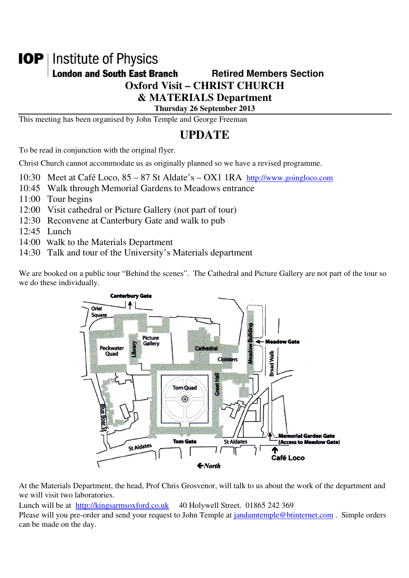# **IOP** | Institute of Physics

## **London and South East Branch Famely Retired Members Section**

**Oxford Visit – CHRIST CHURCH** 

**& MATERIALS Department** 

**Thursday 26 September 2013** 

This meeting has been organised by John Temple and George Freeman

# **UPDATE**

To be read in conjunction with the original flyer.

Christ Church cannot accommodate us as originally planned so we have a revised programme.

10:30 Meet at Café Loco, 85 – 87 St Aldate's – OX1 1RA http://www.goingloco.com

- 10:45 Walk through Memorial Gardens to Meadows entrance
- 11:00 Tour begins
- 12:00 Visit cathedral or Picture Gallery (not part of tour)
- 12:30 Reconvene at Canterbury Gate and walk to pub
- 12:45 Lunch
- 14:00 Walk to the Materials Department
- 14:30 Talk and tour of the University's Materials department

We are booked on a public tour "Behind the scenes". The Cathedral and Picture Gallery are not part of the tour so we do these individually.



At the Materials Department, the head, Prof Chris Grosvenor, will talk to us about the work of the department and we will visit two laboratories.

Lunch will be at http://kingsarmsoxford.co.uk 40 Holywell Street. 01865 242 369

Please will you pre-order and send your request to John Temple at jandamtemple@btinternet.com. Simple orders can be made on the day.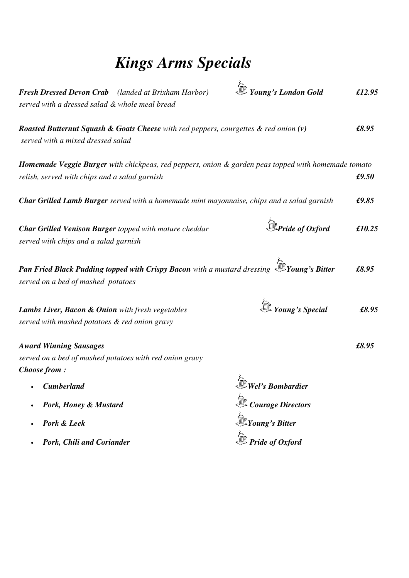# *Kings Arms Specials*

| served with a dressed salad & whole meal bread                                                                  | <b>Fresh Dressed Devon Crab</b> (landed at Brixham Harbor)                                           | <i><b>E</b></i> Young's London Gold                                                                                     | £12.95 |
|-----------------------------------------------------------------------------------------------------------------|------------------------------------------------------------------------------------------------------|-------------------------------------------------------------------------------------------------------------------------|--------|
| served with a mixed dressed salad                                                                               | <b>Roasted Butternut Squash &amp; Goats Cheese</b> with red peppers, courgettes $\&$ red onion $(v)$ |                                                                                                                         | £8.95  |
| relish, served with chips and a salad garnish                                                                   |                                                                                                      | Homemade Veggie Burger with chickpeas, red peppers, onion & garden peas topped with homemade tomato                     | £9.50  |
|                                                                                                                 |                                                                                                      | Char Grilled Lamb Burger served with a homemade mint mayonnaise, chips and a salad garnish                              | £9.85  |
| served with chips and a salad garnish                                                                           | <b>Char Grilled Venison Burger</b> topped with mature cheddar                                        | $\mathbb{\hat{D}}$ Pride of Oxford                                                                                      | £10.25 |
| served on a bed of mashed potatoes                                                                              |                                                                                                      | <b>Pan Fried Black Pudding topped with Crispy Bacon</b> with a mustard dressing $\overline{\mathcal{D}}$ Young's Bitter | £8.95  |
| <b>Lambs Liver, Bacon &amp; Onion</b> with fresh vegetables<br>served with mashed potatoes & red onion gravy    |                                                                                                      | <i><u><b>Sext</b> Young's Special</u></i>                                                                               | £8.95  |
| <b>Award Winning Sausages</b><br>served on a bed of mashed potatoes with red onion gravy<br><b>Choose from:</b> |                                                                                                      |                                                                                                                         | £8.95  |
| <b>Cumberland</b>                                                                                               |                                                                                                      | Wel's Bombardier                                                                                                        |        |
| Pork, Honey & Mustard                                                                                           |                                                                                                      | <b>Courage Directors</b>                                                                                                |        |
| Pork & Leek                                                                                                     |                                                                                                      | $\mathbb{Z}_Y$ Young's Bitter                                                                                           |        |
| Pork, Chili and Coriander                                                                                       |                                                                                                      | $\hat{P}$ Pride of Oxford                                                                                               |        |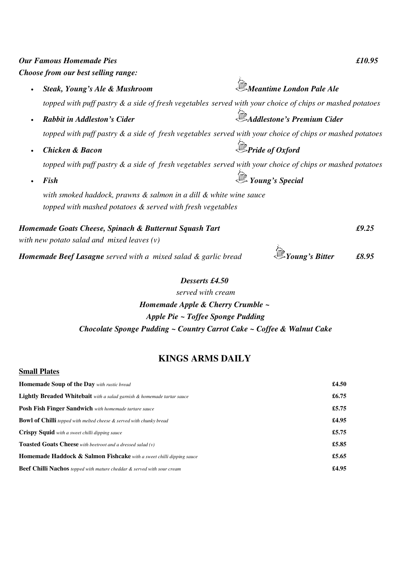| <b>Our Famous Homemade Pies</b>                                                                          | £10.95                            |
|----------------------------------------------------------------------------------------------------------|-----------------------------------|
| Choose from our best selling range:                                                                      |                                   |
| Steak, Young's Ale & Mushroom                                                                            | Meantime London Pale Ale          |
| topped with puff pastry & a side of fresh vegetables served with your choice of chips or mashed potatoes |                                   |
| <b>Rabbit in Addleston's Cider</b>                                                                       | <b>Addlestone's Premium Cider</b> |
| topped with puff pastry & a side of fresh vegetables served with your choice of chips or mashed potatoes |                                   |
| <b>Chicken &amp; Bacon</b>                                                                               | $\mathbb{D}$ Pride of Oxford      |
| topped with puff pastry & a side of fresh vegetables served with your choice of chips or mashed potatoes |                                   |
| Fish                                                                                                     | <b>Young's Special</b>            |
| with smoked haddock, prawns & salmon in a dill & white wine sauce                                        |                                   |
| topped with mashed potatoes & served with fresh vegetables                                               |                                   |
| Homemade Goats Cheese, Spinach & Butternut Squash Tart                                                   | £9.25                             |
| with new potato salad and mixed leaves $(v)$                                                             |                                   |
| Homemade Beef Lasagne served with a mixed salad & garlic bread                                           | £8.95                             |

## *Desserts £4.50*

## *served with cream Homemade Apple & Cherry Crumble ~ Apple Pie ~ Toffee Sponge Pudding Chocolate Sponge Pudding ~ Country Carrot Cake ~ Coffee & Walnut Cake*

## **KINGS ARMS DAILY**

| <b>Small Plates</b>                                                             |       |
|---------------------------------------------------------------------------------|-------|
| <b>Homemade Soup of the Day</b> with rustic bread                               | £4.50 |
| <b>Lightly Breaded Whitebait</b> with a salad garnish & homemade tartar sauce   | £6.75 |
| <b>Posh Fish Finger Sandwich</b> with homemade tartare sauce                    | £5.75 |
| <b>Bowl of Chilli</b> topped with melted cheese & served with chunky bread      | £4.95 |
| <b>Crispy Squid</b> with a sweet chilli dipping sauce                           | £5.75 |
| <b>Toasted Goats Cheese</b> with beetroot and a dressed salad (y)               | £5.85 |
| <b>Homemade Haddock &amp; Salmon Fishcake</b> with a sweet chilli dipping sauce | £5.65 |
| <b>Beef Chilli Nachos</b> topped with mature cheddar & served with sour cream   | £4.95 |